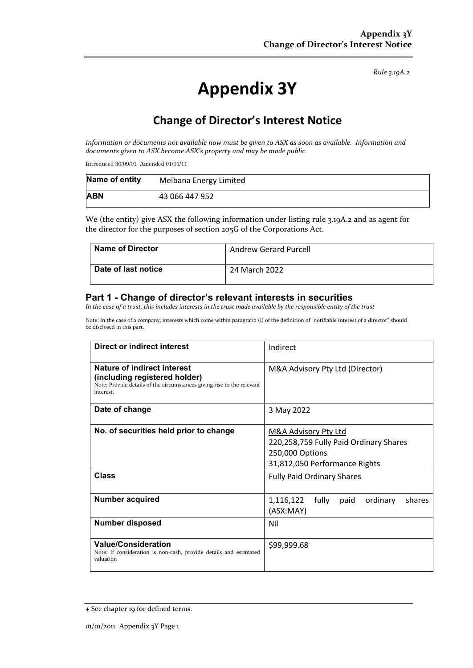*Rule 3.19A.2*

# **Appendix 3Y**

## **Change of Director's Interest Notice**

*Information or documents not available now must be given to ASX as soon as available. Information and documents given to ASX become ASX's property and may be made public.*

Introduced 30/09/01 Amended 01/01/11

| Name of entity | Melbana Energy Limited |
|----------------|------------------------|
| <b>ABN</b>     | 43 066 447 952         |

We (the entity) give ASX the following information under listing rule 3.19A.2 and as agent for the director for the purposes of section 205G of the Corporations Act.

| <b>Name of Director</b> | <b>Andrew Gerard Purcell</b> |
|-------------------------|------------------------------|
| Date of last notice     | 24 March 2022                |

#### **Part 1 - Change of director's relevant interests in securities**

*In the case of a trust, this includes interests in the trust made available by the responsible entity of the trust*

Note: In the case of a company, interests which come within paragraph (i) of the definition of "notifiable interest of a director" should be disclosed in this part.

| Direct or indirect interest                                                                                                                         | Indirect                                                                                                                      |  |
|-----------------------------------------------------------------------------------------------------------------------------------------------------|-------------------------------------------------------------------------------------------------------------------------------|--|
| Nature of indirect interest<br>(including registered holder)<br>Note: Provide details of the circumstances giving rise to the relevant<br>interest. | M&A Advisory Pty Ltd (Director)                                                                                               |  |
| Date of change                                                                                                                                      | 3 May 2022                                                                                                                    |  |
| No. of securities held prior to change                                                                                                              | <b>M&amp;A Advisory Pty Ltd</b><br>220,258,759 Fully Paid Ordinary Shares<br>250,000 Options<br>31,812,050 Performance Rights |  |
| Class                                                                                                                                               | <b>Fully Paid Ordinary Shares</b>                                                                                             |  |
| <b>Number acquired</b>                                                                                                                              | 1,116,122<br>fully<br>ordinary<br>shares<br>paid<br>(ASX:MAY)                                                                 |  |
| <b>Number disposed</b>                                                                                                                              | Nil                                                                                                                           |  |
| <b>Value/Consideration</b><br>Note: If consideration is non-cash, provide details and estimated<br>valuation                                        | \$99,999.68                                                                                                                   |  |

<sup>+</sup> See chapter 19 for defined terms.